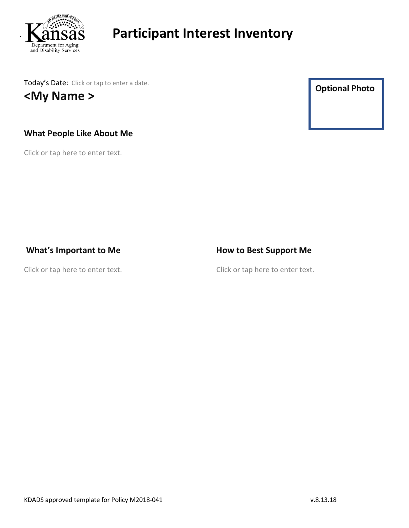

Today's Date: Click or tap to enter a date. **<My Name >**

### **What People Like About Me**

Click or tap here to enter text.

**Optional Photo**

### **What's Important to Me**

Click or tap here to enter text.

### **How to Best Support Me**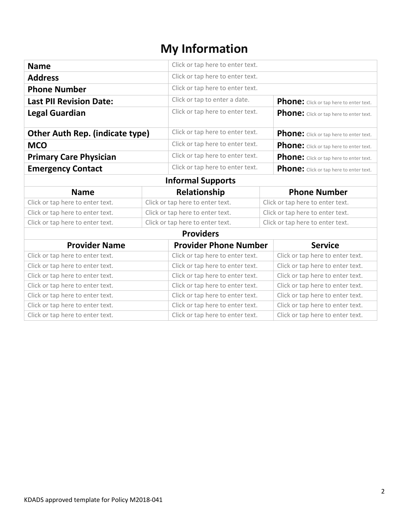# **My Information**

| <b>Name</b>                            |                                  | Click or tap here to enter text. |  |                                         |  |  |
|----------------------------------------|----------------------------------|----------------------------------|--|-----------------------------------------|--|--|
| <b>Address</b>                         |                                  | Click or tap here to enter text. |  |                                         |  |  |
| <b>Phone Number</b>                    |                                  | Click or tap here to enter text. |  |                                         |  |  |
| <b>Last PII Revision Date:</b>         |                                  | Click or tap to enter a date.    |  | Phone: Click or tap here to enter text. |  |  |
| <b>Legal Guardian</b>                  |                                  | Click or tap here to enter text. |  | Phone: Click or tap here to enter text. |  |  |
| <b>Other Auth Rep. (indicate type)</b> |                                  | Click or tap here to enter text. |  | Phone: Click or tap here to enter text. |  |  |
| <b>MCO</b>                             |                                  | Click or tap here to enter text. |  | Phone: Click or tap here to enter text. |  |  |
| <b>Primary Care Physician</b>          |                                  | Click or tap here to enter text. |  | Phone: Click or tap here to enter text. |  |  |
| <b>Emergency Contact</b>               |                                  | Click or tap here to enter text. |  | Phone: Click or tap here to enter text. |  |  |
| <b>Informal Supports</b>               |                                  |                                  |  |                                         |  |  |
| <b>Name</b>                            |                                  | Relationship                     |  | <b>Phone Number</b>                     |  |  |
| Click or tap here to enter text.       | Click or tap here to enter text. |                                  |  | Click or tap here to enter text.        |  |  |
| Click or tap here to enter text.       | Click or tap here to enter text. |                                  |  | Click or tap here to enter text.        |  |  |
| Click or tap here to enter text.       |                                  | Click or tap here to enter text. |  | Click or tap here to enter text.        |  |  |
| <b>Providers</b>                       |                                  |                                  |  |                                         |  |  |
| <b>Provider Name</b>                   |                                  | <b>Provider Phone Number</b>     |  | <b>Service</b>                          |  |  |
| Click or tap here to enter text.       |                                  | Click or tap here to enter text. |  | Click or tap here to enter text.        |  |  |
| Click or tap here to enter text.       |                                  | Click or tap here to enter text. |  | Click or tap here to enter text.        |  |  |
| Click or tap here to enter text.       |                                  | Click or tap here to enter text. |  | Click or tap here to enter text.        |  |  |
| Click or tap here to enter text.       |                                  | Click or tap here to enter text. |  | Click or tap here to enter text.        |  |  |
| Click or tap here to enter text.       |                                  | Click or tap here to enter text. |  | Click or tap here to enter text.        |  |  |
| Click or tap here to enter text.       |                                  | Click or tap here to enter text. |  | Click or tap here to enter text.        |  |  |
|                                        |                                  |                                  |  |                                         |  |  |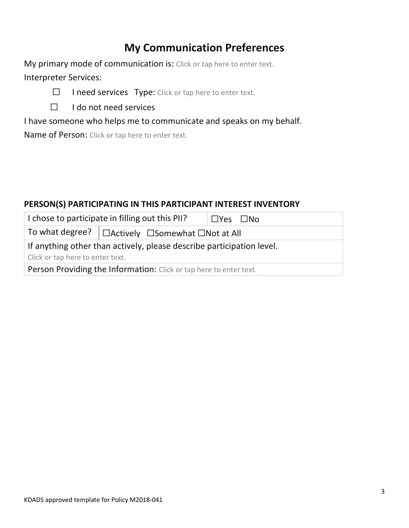# **My Communication Preferences**

My primary mode of communication is: Click or tap here to enter text. Interpreter Services:



☐ I do not need services

I have someone who helps me to communicate and speaks on my behalf.

Name of Person: Click or tap here to enter text.

### **PERSON(S) PARTICIPATING IN THIS PARTICIPANT INTEREST INVENTORY**

| I chose to participate in filling out this PII?                       |                                                   | ∣ □Yes □No |  |
|-----------------------------------------------------------------------|---------------------------------------------------|------------|--|
|                                                                       | To what degree?   □Actively □Somewhat □Not at All |            |  |
| If anything other than actively, please describe participation level. |                                                   |            |  |
| Click or tap here to enter text.                                      |                                                   |            |  |
| Person Providing the Information: Click or tap here to enter text.    |                                                   |            |  |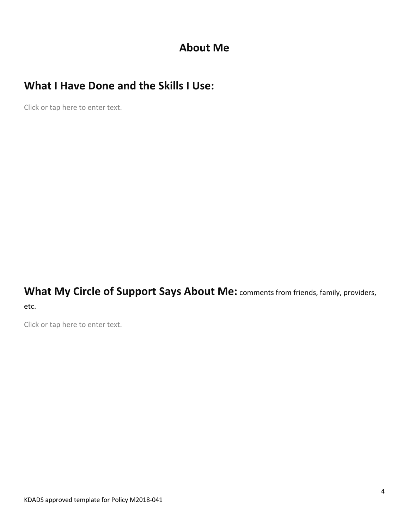## **About Me**

# **What I Have Done and the Skills I Use:**

Click or tap here to enter text.

**What My Circle of Support Says About Me:** comments from friends, family, providers, etc.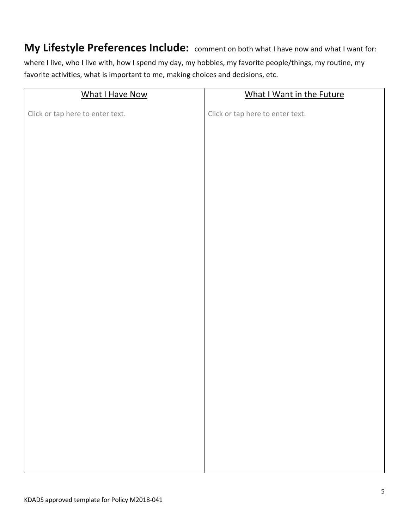### **My Lifestyle Preferences Include:** comment on both what I have now and what I want for:

where I live, who I live with, how I spend my day, my hobbies, my favorite people/things, my routine, my favorite activities, what is important to me, making choices and decisions, etc.

| What I Have Now                  | What I Want in the Future        |
|----------------------------------|----------------------------------|
| Click or tap here to enter text. | Click or tap here to enter text. |
|                                  |                                  |
|                                  |                                  |
|                                  |                                  |
|                                  |                                  |
|                                  |                                  |
|                                  |                                  |
|                                  |                                  |
|                                  |                                  |
|                                  |                                  |
|                                  |                                  |
|                                  |                                  |
|                                  |                                  |
|                                  |                                  |
|                                  |                                  |
|                                  |                                  |
|                                  |                                  |
|                                  |                                  |
|                                  |                                  |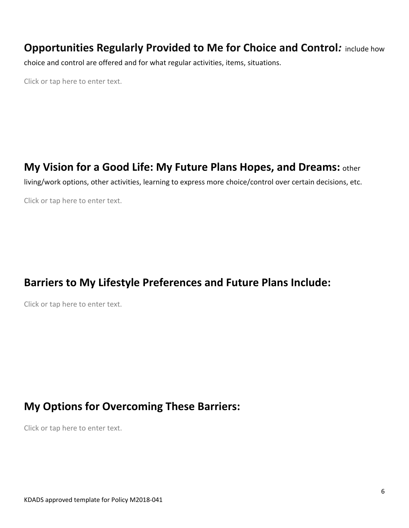### **Opportunities Regularly Provided to Me for Choice and Control***:* include how

choice and control are offered and for what regular activities, items, situations.

Click or tap here to enter text.

### **My Vision for a Good Life: My Future Plans Hopes, and Dreams:** other

living/work options, other activities, learning to express more choice/control over certain decisions, etc.

Click or tap here to enter text.

## **Barriers to My Lifestyle Preferences and Future Plans Include:**

Click or tap here to enter text.

### **My Options for Overcoming These Barriers:**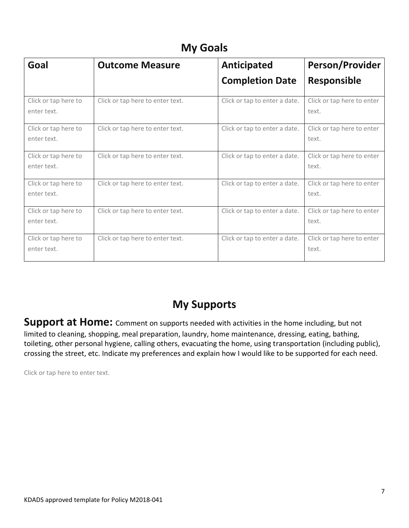# **My Goals**

| Goal                                | <b>Outcome Measure</b>           | <b>Anticipated</b>            | <b>Person/Provider</b>              |
|-------------------------------------|----------------------------------|-------------------------------|-------------------------------------|
|                                     |                                  | <b>Completion Date</b>        | <b>Responsible</b>                  |
| Click or tap here to<br>enter text. | Click or tap here to enter text. | Click or tap to enter a date. | Click or tap here to enter<br>text. |
| Click or tap here to<br>enter text. | Click or tap here to enter text. | Click or tap to enter a date. | Click or tap here to enter<br>text. |
| Click or tap here to<br>enter text. | Click or tap here to enter text. | Click or tap to enter a date. | Click or tap here to enter<br>text. |
| Click or tap here to<br>enter text. | Click or tap here to enter text. | Click or tap to enter a date. | Click or tap here to enter<br>text. |
| Click or tap here to<br>enter text. | Click or tap here to enter text. | Click or tap to enter a date. | Click or tap here to enter<br>text. |
| Click or tap here to<br>enter text. | Click or tap here to enter text. | Click or tap to enter a date. | Click or tap here to enter<br>text. |

# **My Supports**

Support at Home: Comment on supports needed with activities in the home including, but not limited to cleaning, shopping, meal preparation, laundry, home maintenance, dressing, eating, bathing, toileting, other personal hygiene, calling others, evacuating the home, using transportation (including public), crossing the street, etc. Indicate my preferences and explain how I would like to be supported for each need.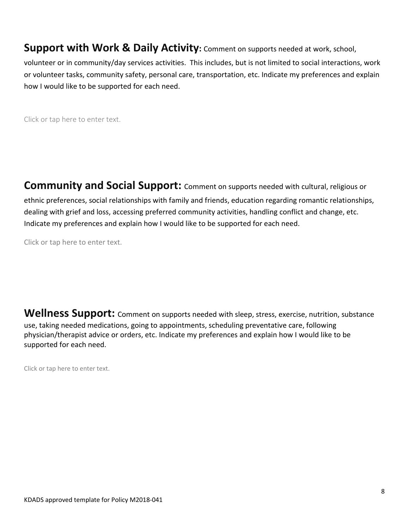**Support with Work & Daily Activity:** Comment on supports needed at work, school,

volunteer or in community/day services activities. This includes, but is not limited to social interactions, work or volunteer tasks, community safety, personal care, transportation, etc. Indicate my preferences and explain how I would like to be supported for each need.

Click or tap here to enter text.

**Community and Social Support:** Comment on supports needed with cultural, religious or ethnic preferences, social relationships with family and friends, education regarding romantic relationships, dealing with grief and loss, accessing preferred community activities, handling conflict and change, etc. Indicate my preferences and explain how I would like to be supported for each need.

Click or tap here to enter text.

**Wellness Support:** Comment on supports needed with sleep, stress, exercise, nutrition, substance use, taking needed medications, going to appointments, scheduling preventative care, following physician/therapist advice or orders, etc. Indicate my preferences and explain how I would like to be supported for each need.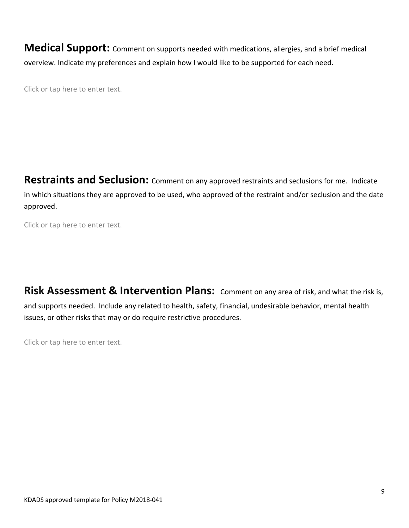**Medical Support:** Comment on supports needed with medications, allergies, and a brief medical overview. Indicate my preferences and explain how I would like to be supported for each need.

Click or tap here to enter text.

**Restraints and Seclusion:** Comment on any approved restraints and seclusions for me. Indicate in which situations they are approved to be used, who approved of the restraint and/or seclusion and the date approved.

Click or tap here to enter text.

**Risk Assessment & Intervention Plans:** Comment on any area of risk, and what the risk is, and supports needed. Include any related to health, safety, financial, undesirable behavior, mental health issues, or other risks that may or do require restrictive procedures.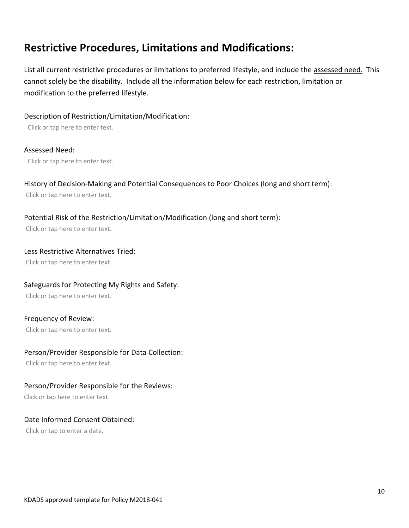## **Restrictive Procedures, Limitations and Modifications:**

List all current restrictive procedures or limitations to preferred lifestyle, and include the assessed need. This cannot solely be the disability. Include all the information below for each restriction, limitation or modification to the preferred lifestyle.

Description of Restriction/Limitation/Modification:

Click or tap here to enter text.

#### Assessed Need:

Click or tap here to enter text.

### History of Decision-Making and Potential Consequences to Poor Choices (long and short term):

Click or tap here to enter text.

### Potential Risk of the Restriction/Limitation/Modification (long and short term):

Click or tap here to enter text.

#### Less Restrictive Alternatives Tried:

Click or tap here to enter text.

### Safeguards for Protecting My Rights and Safety:

Click or tap here to enter text.

#### Frequency of Review:

Click or tap here to enter text.

#### Person/Provider Responsible for Data Collection:

Click or tap here to enter text.

### Person/Provider Responsible for the Reviews:

Click or tap here to enter text.

#### Date Informed Consent Obtained:

Click or tap to enter a date.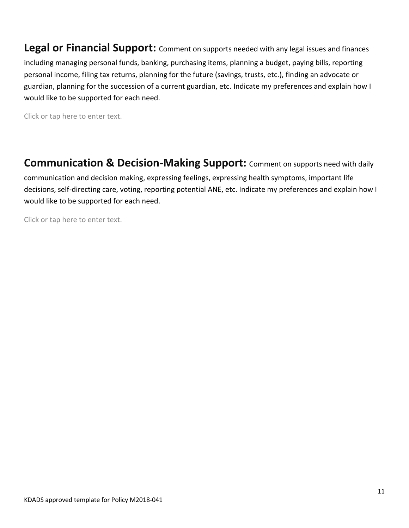**Legal or Financial Support:** Comment on supports needed with any legal issues and finances including managing personal funds, banking, purchasing items, planning a budget, paying bills, reporting personal income, filing tax returns, planning for the future (savings, trusts, etc.), finding an advocate or guardian, planning for the succession of a current guardian, etc. Indicate my preferences and explain how I would like to be supported for each need.

Click or tap here to enter text.

**Communication & Decision-Making Support:** Comment on supports need with daily

communication and decision making, expressing feelings, expressing health symptoms, important life decisions, self-directing care, voting, reporting potential ANE, etc. Indicate my preferences and explain how I would like to be supported for each need.